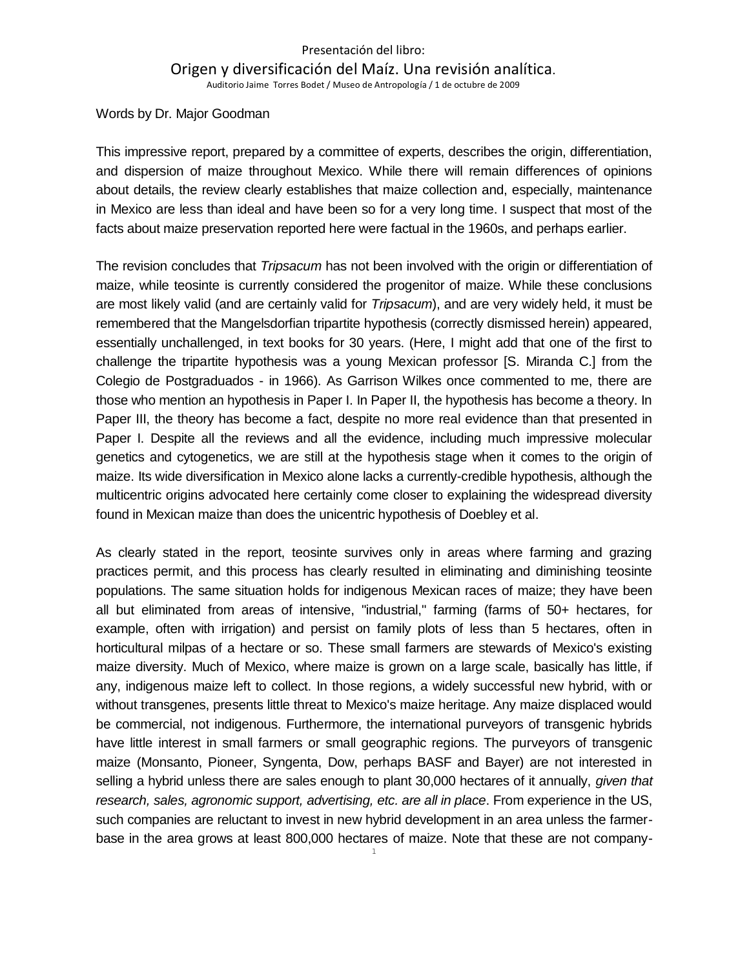## Presentación del libro: Origen y diversificación del Maíz. Una revisión analítica. Auditorio Jaime Torres Bodet / Museo de Antropología / 1 de octubre de 2009

Words by Dr. Major Goodman

This impressive report, prepared by a committee of experts, describes the origin, differentiation, and dispersion of maize throughout Mexico. While there will remain differences of opinions about details, the review clearly establishes that maize collection and, especially, maintenance in Mexico are less than ideal and have been so for a very long time. I suspect that most of the facts about maize preservation reported here were factual in the 1960s, and perhaps earlier.

The revision concludes that *Tripsacum* has not been involved with the origin or differentiation of maize, while teosinte is currently considered the progenitor of maize. While these conclusions are most likely valid (and are certainly valid for *Tripsacum*), and are very widely held, it must be remembered that the Mangelsdorfian tripartite hypothesis (correctly dismissed herein) appeared, essentially unchallenged, in text books for 30 years. (Here, I might add that one of the first to challenge the tripartite hypothesis was a young Mexican professor [S. Miranda C.] from the Colegio de Postgraduados - in 1966). As Garrison Wilkes once commented to me, there are those who mention an hypothesis in Paper I. In Paper II, the hypothesis has become a theory. In Paper III, the theory has become a fact, despite no more real evidence than that presented in Paper I. Despite all the reviews and all the evidence, including much impressive molecular genetics and cytogenetics, we are still at the hypothesis stage when it comes to the origin of maize. Its wide diversification in Mexico alone lacks a currently-credible hypothesis, although the multicentric origins advocated here certainly come closer to explaining the widespread diversity found in Mexican maize than does the unicentric hypothesis of Doebley et al.

As clearly stated in the report, teosinte survives only in areas where farming and grazing practices permit, and this process has clearly resulted in eliminating and diminishing teosinte populations. The same situation holds for indigenous Mexican races of maize; they have been all but eliminated from areas of intensive, "industrial," farming (farms of 50+ hectares, for example, often with irrigation) and persist on family plots of less than 5 hectares, often in horticultural milpas of a hectare or so. These small farmers are stewards of Mexico's existing maize diversity. Much of Mexico, where maize is grown on a large scale, basically has little, if any, indigenous maize left to collect. In those regions, a widely successful new hybrid, with or without transgenes, presents little threat to Mexico's maize heritage. Any maize displaced would be commercial, not indigenous. Furthermore, the international purveyors of transgenic hybrids have little interest in small farmers or small geographic regions. The purveyors of transgenic maize (Monsanto, Pioneer, Syngenta, Dow, perhaps BASF and Bayer) are not interested in selling a hybrid unless there are sales enough to plant 30,000 hectares of it annually, *given that research, sales, agronomic support, advertising, etc. are all in place*. From experience in the US, such companies are reluctant to invest in new hybrid development in an area unless the farmerbase in the area grows at least 800,000 hectares of maize. Note that these are not company-

1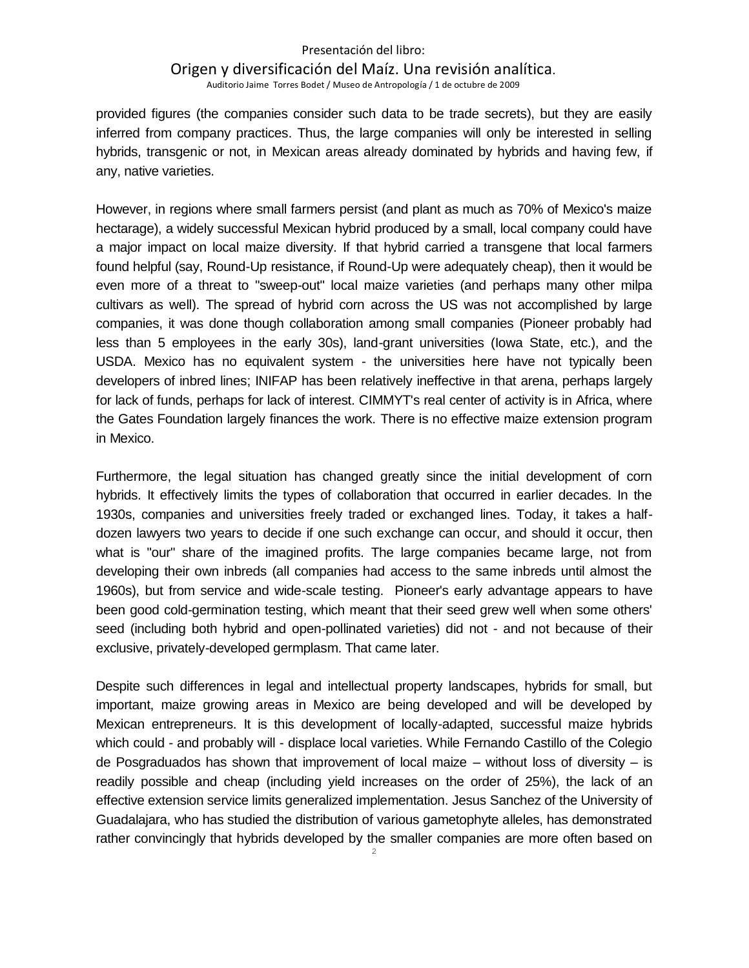## Presentación del libro: Origen y diversificación del Maíz. Una revisión analítica. Auditorio Jaime Torres Bodet / Museo de Antropología / 1 de octubre de 2009

provided figures (the companies consider such data to be trade secrets), but they are easily inferred from company practices. Thus, the large companies will only be interested in selling hybrids, transgenic or not, in Mexican areas already dominated by hybrids and having few, if any, native varieties.

However, in regions where small farmers persist (and plant as much as 70% of Mexico's maize hectarage), a widely successful Mexican hybrid produced by a small, local company could have a major impact on local maize diversity. If that hybrid carried a transgene that local farmers found helpful (say, Round-Up resistance, if Round-Up were adequately cheap), then it would be even more of a threat to "sweep-out" local maize varieties (and perhaps many other milpa cultivars as well). The spread of hybrid corn across the US was not accomplished by large companies, it was done though collaboration among small companies (Pioneer probably had less than 5 employees in the early 30s), land-grant universities (Iowa State, etc.), and the USDA. Mexico has no equivalent system - the universities here have not typically been developers of inbred lines; INIFAP has been relatively ineffective in that arena, perhaps largely for lack of funds, perhaps for lack of interest. CIMMYT's real center of activity is in Africa, where the Gates Foundation largely finances the work. There is no effective maize extension program in Mexico.

Furthermore, the legal situation has changed greatly since the initial development of corn hybrids. It effectively limits the types of collaboration that occurred in earlier decades. In the 1930s, companies and universities freely traded or exchanged lines. Today, it takes a halfdozen lawyers two years to decide if one such exchange can occur, and should it occur, then what is "our" share of the imagined profits. The large companies became large, not from developing their own inbreds (all companies had access to the same inbreds until almost the 1960s), but from service and wide-scale testing. Pioneer's early advantage appears to have been good cold-germination testing, which meant that their seed grew well when some others' seed (including both hybrid and open-pollinated varieties) did not - and not because of their exclusive, privately-developed germplasm. That came later.

2 Despite such differences in legal and intellectual property landscapes, hybrids for small, but important, maize growing areas in Mexico are being developed and will be developed by Mexican entrepreneurs. It is this development of locally-adapted, successful maize hybrids which could - and probably will - displace local varieties. While Fernando Castillo of the Colegio de Posgraduados has shown that improvement of local maize – without loss of diversity – is readily possible and cheap (including yield increases on the order of 25%), the lack of an effective extension service limits generalized implementation. Jesus Sanchez of the University of Guadalajara, who has studied the distribution of various gametophyte alleles, has demonstrated rather convincingly that hybrids developed by the smaller companies are more often based on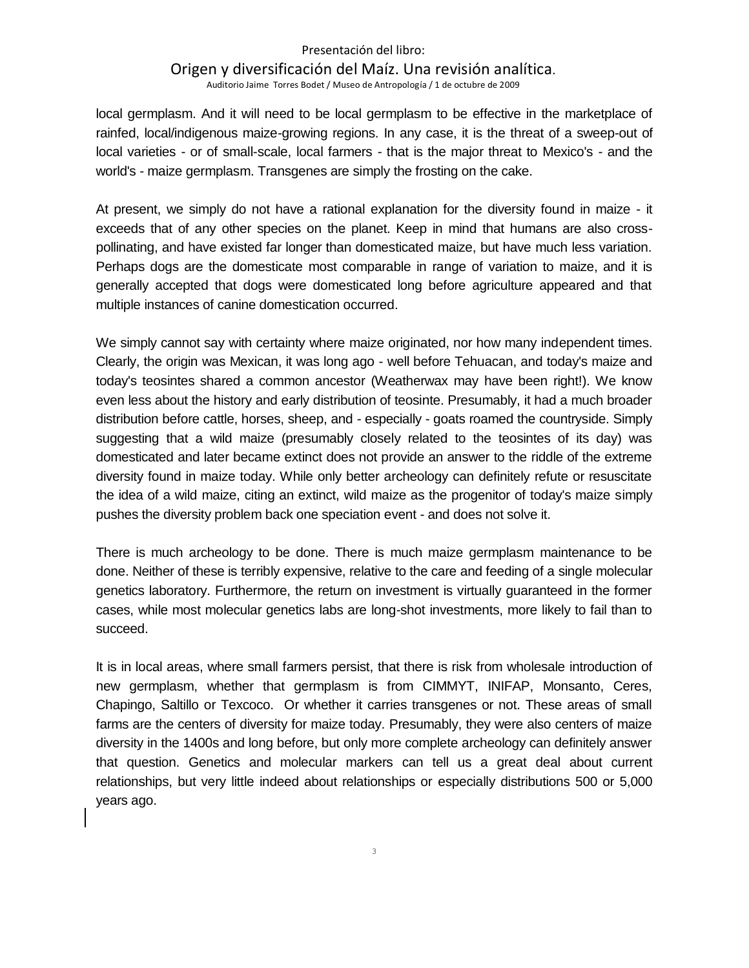## Presentación del libro: Origen y diversificación del Maíz. Una revisión analítica.

Auditorio Jaime Torres Bodet / Museo de Antropología / 1 de octubre de 2009

local germplasm. And it will need to be local germplasm to be effective in the marketplace of rainfed, local/indigenous maize-growing regions. In any case, it is the threat of a sweep-out of local varieties - or of small-scale, local farmers - that is the major threat to Mexico's - and the world's - maize germplasm. Transgenes are simply the frosting on the cake.

At present, we simply do not have a rational explanation for the diversity found in maize - it exceeds that of any other species on the planet. Keep in mind that humans are also crosspollinating, and have existed far longer than domesticated maize, but have much less variation. Perhaps dogs are the domesticate most comparable in range of variation to maize, and it is generally accepted that dogs were domesticated long before agriculture appeared and that multiple instances of canine domestication occurred.

We simply cannot say with certainty where maize originated, nor how many independent times. Clearly, the origin was Mexican, it was long ago - well before Tehuacan, and today's maize and today's teosintes shared a common ancestor (Weatherwax may have been right!). We know even less about the history and early distribution of teosinte. Presumably, it had a much broader distribution before cattle, horses, sheep, and - especially - goats roamed the countryside. Simply suggesting that a wild maize (presumably closely related to the teosintes of its day) was domesticated and later became extinct does not provide an answer to the riddle of the extreme diversity found in maize today. While only better archeology can definitely refute or resuscitate the idea of a wild maize, citing an extinct, wild maize as the progenitor of today's maize simply pushes the diversity problem back one speciation event - and does not solve it.

There is much archeology to be done. There is much maize germplasm maintenance to be done. Neither of these is terribly expensive, relative to the care and feeding of a single molecular genetics laboratory. Furthermore, the return on investment is virtually guaranteed in the former cases, while most molecular genetics labs are long-shot investments, more likely to fail than to succeed.

It is in local areas, where small farmers persist, that there is risk from wholesale introduction of new germplasm, whether that germplasm is from CIMMYT, INIFAP, Monsanto, Ceres, Chapingo, Saltillo or Texcoco. Or whether it carries transgenes or not. These areas of small farms are the centers of diversity for maize today. Presumably, they were also centers of maize diversity in the 1400s and long before, but only more complete archeology can definitely answer that question. Genetics and molecular markers can tell us a great deal about current relationships, but very little indeed about relationships or especially distributions 500 or 5,000 years ago.